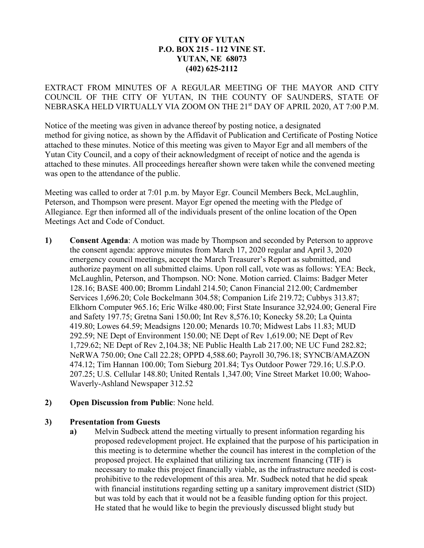## **CITY OF YUTAN P.O. BOX 215 - 112 VINE ST. YUTAN, NE 68073 (402) 625-2112**

EXTRACT FROM MINUTES OF A REGULAR MEETING OF THE MAYOR AND CITY COUNCIL OF THE CITY OF YUTAN, IN THE COUNTY OF SAUNDERS, STATE OF NEBRASKA HELD VIRTUALLY VIA ZOOM ON THE 21st DAY OF APRIL 2020, AT 7:00 P.M.

Notice of the meeting was given in advance thereof by posting notice, a designated method for giving notice, as shown by the Affidavit of Publication and Certificate of Posting Notice attached to these minutes. Notice of this meeting was given to Mayor Egr and all members of the Yutan City Council, and a copy of their acknowledgment of receipt of notice and the agenda is attached to these minutes. All proceedings hereafter shown were taken while the convened meeting was open to the attendance of the public.

Meeting was called to order at 7:01 p.m. by Mayor Egr. Council Members Beck, McLaughlin, Peterson, and Thompson were present. Mayor Egr opened the meeting with the Pledge of Allegiance. Egr then informed all of the individuals present of the online location of the Open Meetings Act and Code of Conduct.

**1) Consent Agenda**: A motion was made by Thompson and seconded by Peterson to approve the consent agenda: approve minutes from March 17, 2020 regular and April 3, 2020 emergency council meetings, accept the March Treasurer's Report as submitted, and authorize payment on all submitted claims. Upon roll call, vote was as follows: YEA: Beck, McLaughlin, Peterson, and Thompson. NO: None. Motion carried. Claims: Badger Meter 128.16; BASE 400.00; Bromm Lindahl 214.50; Canon Financial 212.00; Cardmember Services 1,696.20; Cole Bockelmann 304.58; Companion Life 219.72; Cubbys 313.87; Elkhorn Computer 965.16; Eric Wilke 480.00; First State Insurance 32,924.00; General Fire and Safety 197.75; Gretna Sani 150.00; Int Rev 8,576.10; Konecky 58.20; La Quinta 419.80; Lowes 64.59; Meadsigns 120.00; Menards 10.70; Midwest Labs 11.83; MUD 292.59; NE Dept of Environment 150.00; NE Dept of Rev 1,619.00; NE Dept of Rev 1,729.62; NE Dept of Rev 2,104.38; NE Public Health Lab 217.00; NE UC Fund 282.82; NeRWA 750.00; One Call 22.28; OPPD 4,588.60; Payroll 30,796.18; SYNCB/AMAZON 474.12; Tim Hannan 100.00; Tom Sieburg 201.84; Tys Outdoor Power 729.16; U.S.P.O. 207.25; U.S. Cellular 148.80; United Rentals 1,347.00; Vine Street Market 10.00; Wahoo-Waverly-Ashland Newspaper 312.52

#### **2) Open Discussion from Public**: None held.

#### **3) Presentation from Guests**

**a)** Melvin Sudbeck attend the meeting virtually to present information regarding his proposed redevelopment project. He explained that the purpose of his participation in this meeting is to determine whether the council has interest in the completion of the proposed project. He explained that utilizing tax increment financing (TIF) is necessary to make this project financially viable, as the infrastructure needed is costprohibitive to the redevelopment of this area. Mr. Sudbeck noted that he did speak with financial institutions regarding setting up a sanitary improvement district (SID) but was told by each that it would not be a feasible funding option for this project. He stated that he would like to begin the previously discussed blight study but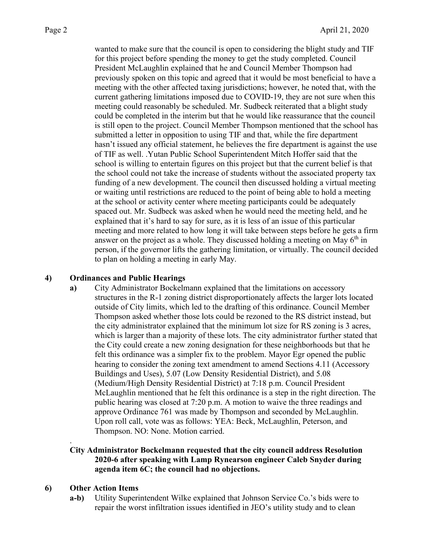wanted to make sure that the council is open to considering the blight study and TIF for this project before spending the money to get the study completed. Council President McLaughlin explained that he and Council Member Thompson had previously spoken on this topic and agreed that it would be most beneficial to have a meeting with the other affected taxing jurisdictions; however, he noted that, with the current gathering limitations imposed due to COVID-19, they are not sure when this meeting could reasonably be scheduled. Mr. Sudbeck reiterated that a blight study could be completed in the interim but that he would like reassurance that the council is still open to the project. Council Member Thompson mentioned that the school has submitted a letter in opposition to using TIF and that, while the fire department hasn't issued any official statement, he believes the fire department is against the use of TIF as well. .Yutan Public School Superintendent Mitch Hoffer said that the school is willing to entertain figures on this project but that the current belief is that the school could not take the increase of students without the associated property tax funding of a new development. The council then discussed holding a virtual meeting or waiting until restrictions are reduced to the point of being able to hold a meeting at the school or activity center where meeting participants could be adequately spaced out. Mr. Sudbeck was asked when he would need the meeting held, and he explained that it's hard to say for sure, as it is less of an issue of this particular meeting and more related to how long it will take between steps before he gets a firm answer on the project as a whole. They discussed holding a meeting on May  $6<sup>th</sup>$  in person, if the governor lifts the gathering limitation, or virtually. The council decided to plan on holding a meeting in early May.

#### **4) Ordinances and Public Hearings**

**a)** City Administrator Bockelmann explained that the limitations on accessory structures in the R-1 zoning district disproportionately affects the larger lots located outside of City limits, which led to the drafting of this ordinance. Council Member Thompson asked whether those lots could be rezoned to the RS district instead, but the city administrator explained that the minimum lot size for RS zoning is 3 acres, which is larger than a majority of these lots. The city administrator further stated that the City could create a new zoning designation for these neighborhoods but that he felt this ordinance was a simpler fix to the problem. Mayor Egr opened the public hearing to consider the zoning text amendment to amend Sections 4.11 (Accessory Buildings and Uses), 5.07 (Low Density Residential District), and 5.08 (Medium/High Density Residential District) at 7:18 p.m. Council President McLaughlin mentioned that he felt this ordinance is a step in the right direction. The public hearing was closed at 7:20 p.m. A motion to waive the three readings and approve Ordinance 761 was made by Thompson and seconded by McLaughlin. Upon roll call, vote was as follows: YEA: Beck, McLaughlin, Peterson, and Thompson. NO: None. Motion carried.

## **City Administrator Bockelmann requested that the city council address Resolution 2020-6 after speaking with Lamp Rynearson engineer Caleb Snyder during agenda item 6C; the council had no objections.**

## **6) Other Action Items**

.

**a-b)** Utility Superintendent Wilke explained that Johnson Service Co.'s bids were to repair the worst infiltration issues identified in JEO's utility study and to clean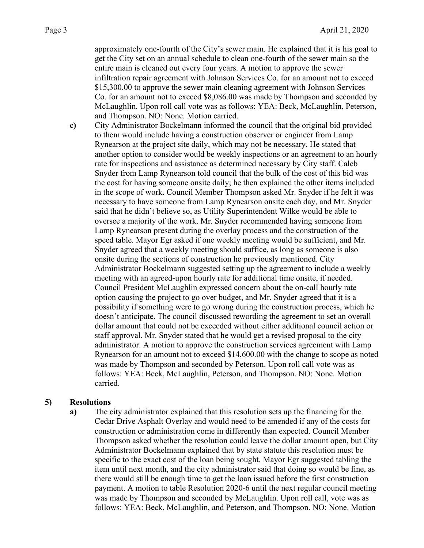approximately one-fourth of the City's sewer main. He explained that it is his goal to get the City set on an annual schedule to clean one-fourth of the sewer main so the entire main is cleaned out every four years. A motion to approve the sewer infiltration repair agreement with Johnson Services Co. for an amount not to exceed \$15,300.00 to approve the sewer main cleaning agreement with Johnson Services Co. for an amount not to exceed \$8,086.00 was made by Thompson and seconded by McLaughlin. Upon roll call vote was as follows: YEA: Beck, McLaughlin, Peterson, and Thompson. NO: None. Motion carried.

**c)** City Administrator Bockelmann informed the council that the original bid provided to them would include having a construction observer or engineer from Lamp Rynearson at the project site daily, which may not be necessary. He stated that another option to consider would be weekly inspections or an agreement to an hourly rate for inspections and assistance as determined necessary by City staff. Caleb Snyder from Lamp Rynearson told council that the bulk of the cost of this bid was the cost for having someone onsite daily; he then explained the other items included in the scope of work. Council Member Thompson asked Mr. Snyder if he felt it was necessary to have someone from Lamp Rynearson onsite each day, and Mr. Snyder said that he didn't believe so, as Utility Superintendent Wilke would be able to oversee a majority of the work. Mr. Snyder recommended having someone from Lamp Rynearson present during the overlay process and the construction of the speed table. Mayor Egr asked if one weekly meeting would be sufficient, and Mr. Snyder agreed that a weekly meeting should suffice, as long as someone is also onsite during the sections of construction he previously mentioned. City Administrator Bockelmann suggested setting up the agreement to include a weekly meeting with an agreed-upon hourly rate for additional time onsite, if needed. Council President McLaughlin expressed concern about the on-call hourly rate option causing the project to go over budget, and Mr. Snyder agreed that it is a possibility if something were to go wrong during the construction process, which he doesn't anticipate. The council discussed rewording the agreement to set an overall dollar amount that could not be exceeded without either additional council action or staff approval. Mr. Snyder stated that he would get a revised proposal to the city administrator. A motion to approve the construction services agreement with Lamp Rynearson for an amount not to exceed \$14,600.00 with the change to scope as noted was made by Thompson and seconded by Peterson. Upon roll call vote was as follows: YEA: Beck, McLaughlin, Peterson, and Thompson. NO: None. Motion carried.

#### **5) Resolutions**

**a)** The city administrator explained that this resolution sets up the financing for the Cedar Drive Asphalt Overlay and would need to be amended if any of the costs for construction or administration come in differently than expected. Council Member Thompson asked whether the resolution could leave the dollar amount open, but City Administrator Bockelmann explained that by state statute this resolution must be specific to the exact cost of the loan being sought. Mayor Egr suggested tabling the item until next month, and the city administrator said that doing so would be fine, as there would still be enough time to get the loan issued before the first construction payment. A motion to table Resolution 2020-6 until the next regular council meeting was made by Thompson and seconded by McLaughlin. Upon roll call, vote was as follows: YEA: Beck, McLaughlin, and Peterson, and Thompson. NO: None. Motion